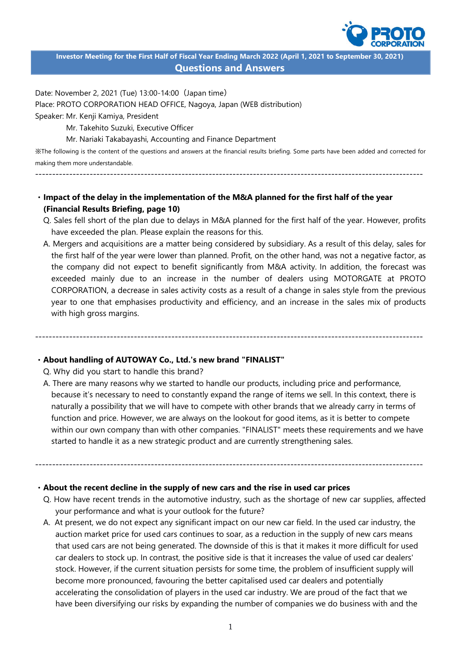

**Investor Meeting for the First Half of Fiscal Year Ending March 2022 (April 1, 2021 to September 30, 2021) Questions and Answers**

Date: November 2, 2021 (Tue) 13:00-14:00(Japan time)

Place: PROTO CORPORATION HEAD OFFICE, Nagoya, Japan (WEB distribution)

Speaker: Mr. Kenji Kamiya, President

Mr. Takehito Suzuki, Executive Officer

Mr. Nariaki Takabayashi, Accounting and Finance Department

※The following is the content of the questions and answers at the financial results briefing. Some parts have been added and corrected for making them more understandable.

------------------------------------------------------------------------------------------------------------------

## ・**Impact of the delay in the implementation of the M&A planned for the first half of the year (Financial Results Briefing, page 10)**

- Q. Sales fell short of the plan due to delays in M&A planned for the first half of the year. However, profits have exceeded the plan. Please explain the reasons for this.
- A. Mergers and acquisitions are a matter being considered by subsidiary. As a result of this delay, sales for the first half of the year were lower than planned. Profit, on the other hand, was not a negative factor, as the company did not expect to benefit significantly from M&A activity. In addition, the forecast was exceeded mainly due to an increase in the number of dealers using MOTORGATE at PROTO CORPORATION, a decrease in sales activity costs as a result of a change in sales style from the previous year to one that emphasises productivity and efficiency, and an increase in the sales mix of products with high gross margins.

------------------------------------------------------------------------------------------------------------------

### ・**About handling of AUTOWAY Co., Ltd.'s new brand "FINALIST"**

Q. Why did you start to handle this brand?

A. There are many reasons why we started to handle our products, including price and performance, because it's necessary to need to constantly expand the range of items we sell. In this context, there is naturally a possibility that we will have to compete with other brands that we already carry in terms of function and price. However, we are always on the lookout for good items, as it is better to compete within our own company than with other companies. "FINALIST" meets these requirements and we have started to handle it as a new strategic product and are currently strengthening sales.

#### ・**About the recent decline in the supply of new cars and the rise in used car prices**

Q. How have recent trends in the automotive industry, such as the shortage of new car supplies, affected your performance and what is your outlook for the future?

------------------------------------------------------------------------------------------------------------------

A. At present, we do not expect any significant impact on our new car field. In the used car industry, the auction market price for used cars continues to soar, as a reduction in the supply of new cars means that used cars are not being generated. The downside of this is that it makes it more difficult for used car dealers to stock up. In contrast, the positive side is that it increases the value of used car dealers' stock. However, if the current situation persists for some time, the problem of insufficient supply will become more pronounced, favouring the better capitalised used car dealers and potentially accelerating the consolidation of players in the used car industry. We are proud of the fact that we have been diversifying our risks by expanding the number of companies we do business with and the